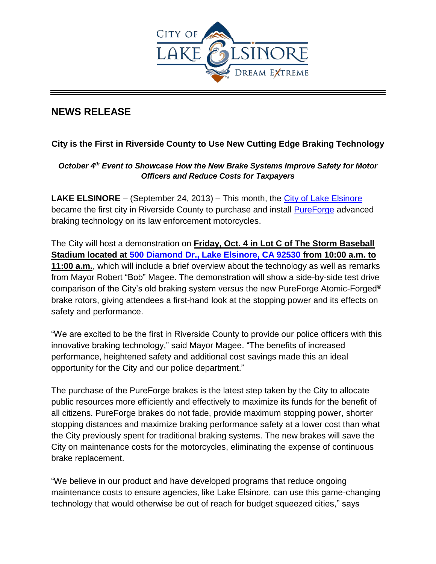

# **NEWS RELEASE**

## **City is the First in Riverside County to Use New Cutting Edge Braking Technology**

## *October 4 th Event to Showcase How the New Brake Systems Improve Safety for Motor Officers and Reduce Costs for Taxpayers*

**LAKE ELSINORE** – (September 24, 2013) – This month, the [City of Lake Elsinore](http://www.lake-elsinore.org/) became the first city in Riverside County to purchase and install [PureForge](http://www.pureforge.com/) advanced braking technology on its law enforcement motorcycles.

The City will host a demonstration on **Friday, Oct. 4 in Lot C of The Storm Baseball Stadium located at [500 Diamond Dr., Lake Elsinore, CA 92530](http://mapq.st/1feqvtb) from 10:00 a.m. to 11:00 a.m.**, which will include a brief overview about the technology as well as remarks from Mayor Robert "Bob" Magee. The demonstration will show a side-by-side test drive comparison of the City's old braking system versus the new PureForge Atomic-Forged**®** brake rotors, giving attendees a first-hand look at the stopping power and its effects on safety and performance.

"We are excited to be the first in Riverside County to provide our police officers with this innovative braking technology," said Mayor Magee. "The benefits of increased performance, heightened safety and additional cost savings made this an ideal opportunity for the City and our police department."

The purchase of the PureForge brakes is the latest step taken by the City to allocate public resources more efficiently and effectively to maximize its funds for the benefit of all citizens. PureForge brakes do not fade, provide maximum stopping power, shorter stopping distances and maximize braking performance safety at a lower cost than what the City previously spent for traditional braking systems. The new brakes will save the City on maintenance costs for the motorcycles, eliminating the expense of continuous brake replacement.

"We believe in our product and have developed programs that reduce ongoing maintenance costs to ensure agencies, like Lake Elsinore, can use this game-changing technology that would otherwise be out of reach for budget squeezed cities," says